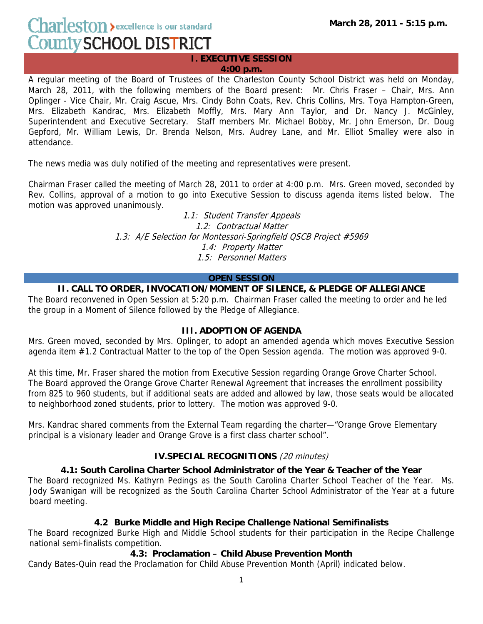Charleston > excellence is our standard **County SCHOOL DISTRICT** 

**I. EXECUTIVE SESSION 4:00 p.m.**

A regular meeting of the Board of Trustees of the Charleston County School District was held on Monday, March 28, 2011, with the following members of the Board present: Mr. Chris Fraser – Chair, Mrs. Ann Oplinger - Vice Chair, Mr. Craig Ascue, Mrs. Cindy Bohn Coats, Rev. Chris Collins, Mrs. Toya Hampton-Green, Mrs. Elizabeth Kandrac, Mrs. Elizabeth Moffly, Mrs. Mary Ann Taylor, and Dr. Nancy J. McGinley, Superintendent and Executive Secretary. Staff members Mr. Michael Bobby, Mr. John Emerson, Dr. Doug Gepford, Mr. William Lewis, Dr. Brenda Nelson, Mrs. Audrey Lane, and Mr. Elliot Smalley were also in attendance.

The news media was duly notified of the meeting and representatives were present.

Chairman Fraser called the meeting of March 28, 2011 to order at 4:00 p.m. Mrs. Green moved, seconded by Rev. Collins, approval of a motion to go into Executive Session to discuss agenda items listed below. The motion was approved unanimously.

> 1.1: Student Transfer Appeals 1.2: Contractual Matter 1.3: A/E Selection for Montessori-Springfield QSCB Project #5969 1.4: Property Matter 1.5: Personnel Matters

#### **OPEN SESSION**

### **II. CALL TO ORDER, INVOCATION/MOMENT OF SILENCE, & PLEDGE OF ALLEGIANCE**

The Board reconvened in Open Session at 5:20 p.m. Chairman Fraser called the meeting to order and he led the group in a Moment of Silence followed by the Pledge of Allegiance.

#### **III. ADOPTION OF AGENDA**

Mrs. Green moved, seconded by Mrs. Oplinger, to adopt an amended agenda which moves Executive Session agenda item #1.2 Contractual Matter to the top of the Open Session agenda. The motion was approved 9-0.

At this time, Mr. Fraser shared the motion from Executive Session regarding Orange Grove Charter School. The Board approved the Orange Grove Charter Renewal Agreement that increases the enrollment possibility from 825 to 960 students, but if additional seats are added and allowed by law, those seats would be allocated to neighborhood zoned students, prior to lottery. The motion was approved 9-0.

Mrs. Kandrac shared comments from the External Team regarding the charter—"Orange Grove Elementary principal is a visionary leader and Orange Grove is a first class charter school".

# **IV.SPECIAL RECOGNITIONS** (20 minutes)

#### **4.1: South Carolina Charter School Administrator of the Year & Teacher of the Year**

The Board recognized Ms. Kathyrn Pedings as the South Carolina Charter School Teacher of the Year. Ms. Jody Swanigan will be recognized as the South Carolina Charter School Administrator of the Year at a future board meeting.

#### **4.2 Burke Middle and High Recipe Challenge National Semifinalists**

The Board recognized Burke High and Middle School students for their participation in the Recipe Challenge national semi-finalists competition.

#### **4.3: Proclamation – Child Abuse Prevention Month**

Candy Bates-Quin read the Proclamation for Child Abuse Prevention Month (April) indicated below.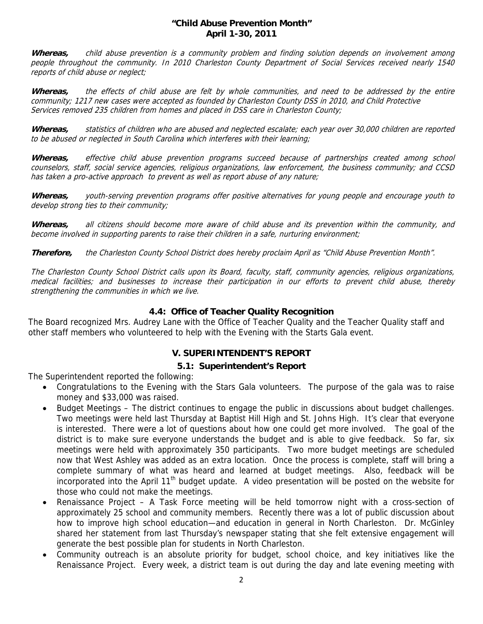#### **"Child Abuse Prevention Month" April 1-30, 2011**

**Whereas,** child abuse prevention is a community problem and finding solution depends on involvement among people throughout the community. In 2010 Charleston County Department of Social Services received nearly 1540 reports of child abuse or neglect;

**Whereas,** the effects of child abuse are felt by whole communities, and need to be addressed by the entire community; 1217 new cases were accepted as founded by Charleston County DSS in 2010, and Child Protective Services removed 235 children from homes and placed in DSS care in Charleston County;

**Whereas,** statistics of children who are abused and neglected escalate; each year over 30,000 children are reported to be abused or neglected in South Carolina which interferes with their learning;

**Whereas,** effective child abuse prevention programs succeed because of partnerships created among school counselors, staff, social service agencies, religious organizations, law enforcement, the business community; and CCSD has taken a pro-active approach to prevent as well as report abuse of any nature;

**Whereas,** youth-serving prevention programs offer positive alternatives for young people and encourage youth to develop strong ties to their community;

**Whereas,** all citizens should become more aware of child abuse and its prevention within the community, and become involved in supporting parents to raise their children in a safe, nurturing environment;

**Therefore,** the Charleston County School District does hereby proclaim April as "Child Abuse Prevention Month".

The Charleston County School District calls upon its Board, faculty, staff, community agencies, religious organizations, medical facilities; and businesses to increase their participation in our efforts to prevent child abuse, thereby strengthening the communities in which we live.

### **4.4: Office of Teacher Quality Recognition**

The Board recognized Mrs. Audrey Lane with the Office of Teacher Quality and the Teacher Quality staff and other staff members who volunteered to help with the Evening with the Starts Gala event.

# **V. SUPERINTENDENT'S REPORT**

# **5.1: Superintendent's Report**

The Superintendent reported the following:

- Congratulations to the Evening with the Stars Gala volunteers. The purpose of the gala was to raise money and \$33,000 was raised.
- Budget Meetings The district continues to engage the public in discussions about budget challenges. Two meetings were held last Thursday at Baptist Hill High and St. Johns High. It's clear that everyone is interested. There were a lot of questions about how one could get more involved. The goal of the district is to make sure everyone understands the budget and is able to give feedback. So far, six meetings were held with approximately 350 participants. Two more budget meetings are scheduled now that West Ashley was added as an extra location. Once the process is complete, staff will bring a complete summary of what was heard and learned at budget meetings. Also, feedback will be incorporated into the April 11<sup>th</sup> budget update. A video presentation will be posted on the website for those who could not make the meetings.
- Renaissance Project A Task Force meeting will be held tomorrow night with a cross-section of approximately 25 school and community members. Recently there was a lot of public discussion about how to improve high school education—and education in general in North Charleston. Dr. McGinley shared her statement from last Thursday's newspaper stating that she felt extensive engagement will generate the best possible plan for students in North Charleston.
- Community outreach is an absolute priority for budget, school choice, and key initiatives like the Renaissance Project. Every week, a district team is out during the day and late evening meeting with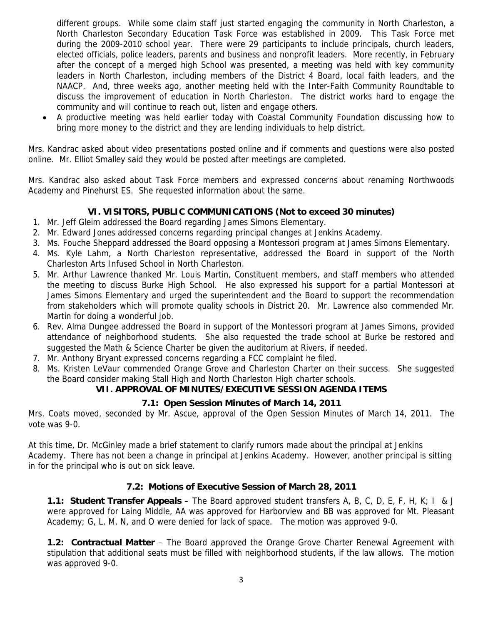different groups. While some claim staff just started engaging the community in North Charleston, a North Charleston Secondary Education Task Force was established in 2009. This Task Force met during the 2009-2010 school year. There were 29 participants to include principals, church leaders, elected officials, police leaders, parents and business and nonprofit leaders. More recently, in February after the concept of a merged high School was presented, a meeting was held with key community leaders in North Charleston, including members of the District 4 Board, local faith leaders, and the NAACP. And, three weeks ago, another meeting held with the Inter-Faith Community Roundtable to discuss the improvement of education in North Charleston. The district works hard to engage the community and will continue to reach out, listen and engage others.

• A productive meeting was held earlier today with Coastal Community Foundation discussing how to bring more money to the district and they are lending individuals to help district.

Mrs. Kandrac asked about video presentations posted online and if comments and questions were also posted online. Mr. Elliot Smalley said they would be posted after meetings are completed.

Mrs. Kandrac also asked about Task Force members and expressed concerns about renaming Northwoods Academy and Pinehurst ES. She requested information about the same.

# **VI. VISITORS, PUBLIC COMMUNICATIONS (Not to exceed 30 minutes)**

- 1. Mr. Jeff Gleim addressed the Board regarding James Simons Elementary.
- 2. Mr. Edward Jones addressed concerns regarding principal changes at Jenkins Academy.
- 3. Ms. Fouche Sheppard addressed the Board opposing a Montessori program at James Simons Elementary.
- 4. Ms. Kyle Lahm, a North Charleston representative, addressed the Board in support of the North Charleston Arts Infused School in North Charleston.
- 5. Mr. Arthur Lawrence thanked Mr. Louis Martin, Constituent members, and staff members who attended the meeting to discuss Burke High School. He also expressed his support for a partial Montessori at James Simons Elementary and urged the superintendent and the Board to support the recommendation from stakeholders which will promote quality schools in District 20. Mr. Lawrence also commended Mr. Martin for doing a wonderful job.
- 6. Rev. Alma Dungee addressed the Board in support of the Montessori program at James Simons, provided attendance of neighborhood students. She also requested the trade school at Burke be restored and suggested the Math & Science Charter be given the auditorium at Rivers, if needed.
- 7. Mr. Anthony Bryant expressed concerns regarding a FCC complaint he filed.
- 8. Ms. Kristen LeVaur commended Orange Grove and Charleston Charter on their success. She suggested the Board consider making Stall High and North Charleston High charter schools.

# **VII. APPROVAL OF MINUTES/EXECUTIVE SESSION AGENDA ITEMS**

# **7.1: Open Session Minutes of March 14, 2011**

Mrs. Coats moved, seconded by Mr. Ascue, approval of the Open Session Minutes of March 14, 2011. The vote was 9-0.

At this time, Dr. McGinley made a brief statement to clarify rumors made about the principal at Jenkins Academy. There has not been a change in principal at Jenkins Academy. However, another principal is sitting in for the principal who is out on sick leave.

# **7.2: Motions of Executive Session of March 28, 2011**

**1.1: Student Transfer Appeals** – The Board approved student transfers A, B, C, D, E, F, H, K; I & J were approved for Laing Middle, AA was approved for Harborview and BB was approved for Mt. Pleasant Academy; G, L, M, N, and O were denied for lack of space. The motion was approved 9-0.

**1.2: Contractual Matter** – The Board approved the Orange Grove Charter Renewal Agreement with stipulation that additional seats must be filled with neighborhood students, if the law allows. The motion was approved 9-0.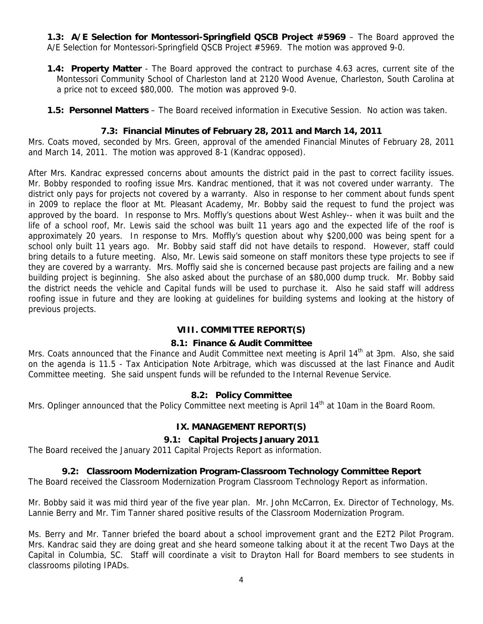**1.3: A/E Selection for Montessori-Springfield QSCB Project #5969** – The Board approved the A/E Selection for Montessori-Springfield QSCB Project #5969. The motion was approved 9-0.

- **1.4: Property Matter** The Board approved the contract to purchase 4.63 acres, current site of the Montessori Community School of Charleston land at 2120 Wood Avenue, Charleston, South Carolina at a price not to exceed \$80,000. The motion was approved 9-0.
- **1.5: Personnel Matters** The Board received information in Executive Session. No action was taken.

### **7.3: Financial Minutes of February 28, 2011 and March 14, 2011**

Mrs. Coats moved, seconded by Mrs. Green, approval of the amended Financial Minutes of February 28, 2011 and March 14, 2011. The motion was approved 8-1 (Kandrac opposed).

After Mrs. Kandrac expressed concerns about amounts the district paid in the past to correct facility issues. Mr. Bobby responded to roofing issue Mrs. Kandrac mentioned, that it was not covered under warranty. The district only pays for projects not covered by a warranty. Also in response to her comment about funds spent in 2009 to replace the floor at Mt. Pleasant Academy, Mr. Bobby said the request to fund the project was approved by the board. In response to Mrs. Moffly's questions about West Ashley-- when it was built and the life of a school roof, Mr. Lewis said the school was built 11 years ago and the expected life of the roof is approximately 20 years. In response to Mrs. Moffly's question about why \$200,000 was being spent for a school only built 11 years ago. Mr. Bobby said staff did not have details to respond. However, staff could bring details to a future meeting. Also, Mr. Lewis said someone on staff monitors these type projects to see if they are covered by a warranty. Mrs. Moffly said she is concerned because past projects are failing and a new building project is beginning. She also asked about the purchase of an \$80,000 dump truck. Mr. Bobby said the district needs the vehicle and Capital funds will be used to purchase it. Also he said staff will address roofing issue in future and they are looking at guidelines for building systems and looking at the history of previous projects.

# **VIII. COMMITTEE REPORT(S)**

# **8.1: Finance & Audit Committee**

Mrs. Coats announced that the Finance and Audit Committee next meeting is April 14<sup>th</sup> at 3pm. Also, she said on the agenda is 11.5 - Tax Anticipation Note Arbitrage, which was discussed at the last Finance and Audit Committee meeting. She said unspent funds will be refunded to the Internal Revenue Service.

# **8.2: Policy Committee**

Mrs. Oplinger announced that the Policy Committee next meeting is April 14<sup>th</sup> at 10am in the Board Room.

# **IX. MANAGEMENT REPORT(S)**

# **9.1: Capital Projects January 2011**

The Board received the January 2011 Capital Projects Report as information.

# **9.2: Classroom Modernization Program-Classroom Technology Committee Report**

The Board received the Classroom Modernization Program Classroom Technology Report as information.

Mr. Bobby said it was mid third year of the five year plan. Mr. John McCarron, Ex. Director of Technology, Ms. Lannie Berry and Mr. Tim Tanner shared positive results of the Classroom Modernization Program.

Ms. Berry and Mr. Tanner briefed the board about a school improvement grant and the E2T2 Pilot Program. Mrs. Kandrac said they are doing great and she heard someone talking about it at the recent Two Days at the Capital in Columbia, SC. Staff will coordinate a visit to Drayton Hall for Board members to see students in classrooms piloting IPADs.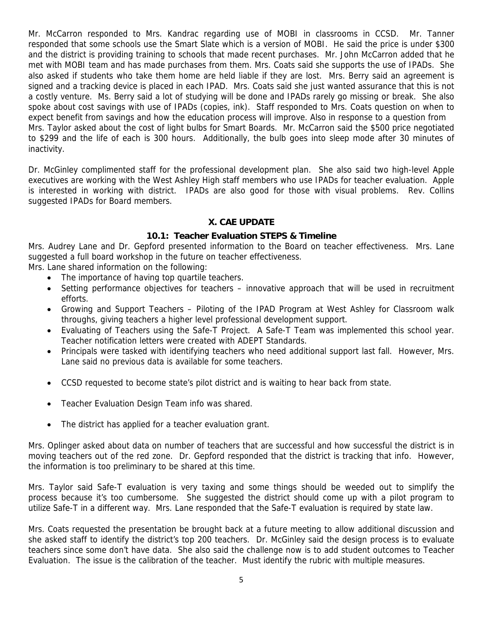Mr. McCarron responded to Mrs. Kandrac regarding use of MOBI in classrooms in CCSD. Mr. Tanner responded that some schools use the Smart Slate which is a version of MOBI. He said the price is under \$300 and the district is providing training to schools that made recent purchases. Mr. John McCarron added that he met with MOBI team and has made purchases from them. Mrs. Coats said she supports the use of IPADs. She also asked if students who take them home are held liable if they are lost. Mrs. Berry said an agreement is signed and a tracking device is placed in each IPAD. Mrs. Coats said she just wanted assurance that this is not a costly venture. Ms. Berry said a lot of studying will be done and IPADs rarely go missing or break. She also spoke about cost savings with use of IPADs (copies, ink). Staff responded to Mrs. Coats question on when to expect benefit from savings and how the education process will improve. Also in response to a question from Mrs. Taylor asked about the cost of light bulbs for Smart Boards. Mr. McCarron said the \$500 price negotiated to \$299 and the life of each is 300 hours. Additionally, the bulb goes into sleep mode after 30 minutes of inactivity.

Dr. McGinley complimented staff for the professional development plan. She also said two high-level Apple executives are working with the West Ashley High staff members who use IPADs for teacher evaluation. Apple is interested in working with district. IPADs are also good for those with visual problems. Rev. Collins suggested IPADs for Board members.

#### **X. CAE UPDATE**

# **10.1: Teacher Evaluation STEPS & Timeline**

Mrs. Audrey Lane and Dr. Gepford presented information to the Board on teacher effectiveness. Mrs. Lane suggested a full board workshop in the future on teacher effectiveness.

Mrs. Lane shared information on the following:

- The importance of having top quartile teachers.
- Setting performance objectives for teachers innovative approach that will be used in recruitment efforts.
- Growing and Support Teachers Piloting of the IPAD Program at West Ashley for Classroom walk throughs, giving teachers a higher level professional development support.
- Evaluating of Teachers using the Safe-T Project. A Safe-T Team was implemented this school year. Teacher notification letters were created with ADEPT Standards.
- Principals were tasked with identifying teachers who need additional support last fall. However, Mrs. Lane said no previous data is available for some teachers.
- CCSD requested to become state's pilot district and is waiting to hear back from state.
- Teacher Evaluation Design Team info was shared.
- The district has applied for a teacher evaluation grant.

Mrs. Oplinger asked about data on number of teachers that are successful and how successful the district is in moving teachers out of the red zone. Dr. Gepford responded that the district is tracking that info. However, the information is too preliminary to be shared at this time.

Mrs. Taylor said Safe-T evaluation is very taxing and some things should be weeded out to simplify the process because it's too cumbersome. She suggested the district should come up with a pilot program to utilize Safe-T in a different way. Mrs. Lane responded that the Safe-T evaluation is required by state law.

Mrs. Coats requested the presentation be brought back at a future meeting to allow additional discussion and she asked staff to identify the district's top 200 teachers. Dr. McGinley said the design process is to evaluate teachers since some don't have data. She also said the challenge now is to add student outcomes to Teacher Evaluation. The issue is the calibration of the teacher. Must identify the rubric with multiple measures.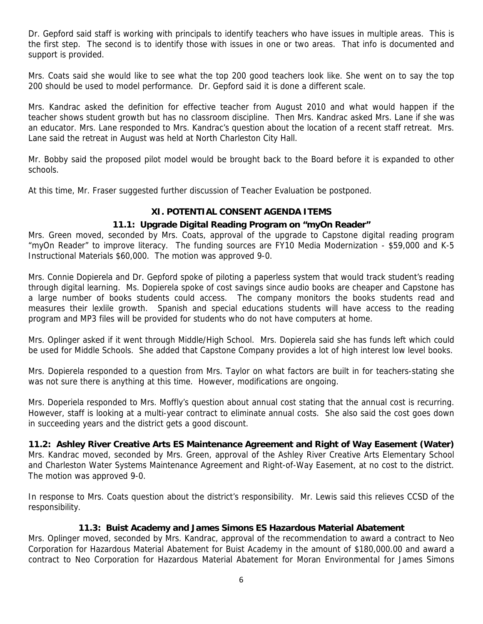Dr. Gepford said staff is working with principals to identify teachers who have issues in multiple areas. This is the first step. The second is to identify those with issues in one or two areas. That info is documented and support is provided.

Mrs. Coats said she would like to see what the top 200 good teachers look like. She went on to say the top 200 should be used to model performance. Dr. Gepford said it is done a different scale.

Mrs. Kandrac asked the definition for effective teacher from August 2010 and what would happen if the teacher shows student growth but has no classroom discipline. Then Mrs. Kandrac asked Mrs. Lane if she was an educator. Mrs. Lane responded to Mrs. Kandrac's question about the location of a recent staff retreat. Mrs. Lane said the retreat in August was held at North Charleston City Hall.

Mr. Bobby said the proposed pilot model would be brought back to the Board before it is expanded to other schools.

At this time, Mr. Fraser suggested further discussion of Teacher Evaluation be postponed.

### **XI. POTENTIAL CONSENT AGENDA ITEMS**

### **11.1: Upgrade Digital Reading Program on "myOn Reader"**

Mrs. Green moved, seconded by Mrs. Coats, approval of the upgrade to Capstone digital reading program "myOn Reader" to improve literacy. The funding sources are FY10 Media Modernization - \$59,000 and K-5 Instructional Materials \$60,000. The motion was approved 9-0.

Mrs. Connie Dopierela and Dr. Gepford spoke of piloting a paperless system that would track student's reading through digital learning. Ms. Dopierela spoke of cost savings since audio books are cheaper and Capstone has a large number of books students could access. The company monitors the books students read and measures their lexlile growth. Spanish and special educations students will have access to the reading program and MP3 files will be provided for students who do not have computers at home.

Mrs. Oplinger asked if it went through Middle/High School. Mrs. Dopierela said she has funds left which could be used for Middle Schools. She added that Capstone Company provides a lot of high interest low level books.

Mrs. Dopierela responded to a question from Mrs. Taylor on what factors are built in for teachers-stating she was not sure there is anything at this time. However, modifications are ongoing.

Mrs. Doperiela responded to Mrs. Moffly's question about annual cost stating that the annual cost is recurring. However, staff is looking at a multi-year contract to eliminate annual costs. She also said the cost goes down in succeeding years and the district gets a good discount.

#### **11.2: Ashley River Creative Arts ES Maintenance Agreement and Right of Way Easement (Water)**

Mrs. Kandrac moved, seconded by Mrs. Green, approval of the Ashley River Creative Arts Elementary School and Charleston Water Systems Maintenance Agreement and Right-of-Way Easement, at no cost to the district. The motion was approved 9-0.

In response to Mrs. Coats question about the district's responsibility. Mr. Lewis said this relieves CCSD of the responsibility.

#### **11.3: Buist Academy and James Simons ES Hazardous Material Abatement**

Mrs. Oplinger moved, seconded by Mrs. Kandrac, approval of the recommendation to award a contract to Neo Corporation for Hazardous Material Abatement for Buist Academy in the amount of \$180,000.00 and award a contract to Neo Corporation for Hazardous Material Abatement for Moran Environmental for James Simons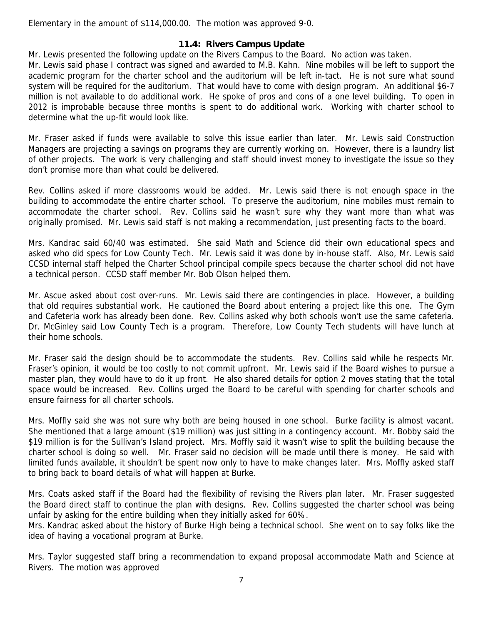Elementary in the amount of \$114,000.00. The motion was approved 9-0.

### **11.4: Rivers Campus Update**

Mr. Lewis presented the following update on the Rivers Campus to the Board. No action was taken.

Mr. Lewis said phase I contract was signed and awarded to M.B. Kahn. Nine mobiles will be left to support the academic program for the charter school and the auditorium will be left in-tact. He is not sure what sound system will be required for the auditorium. That would have to come with design program. An additional \$6-7 million is not available to do additional work. He spoke of pros and cons of a one level building. To open in 2012 is improbable because three months is spent to do additional work. Working with charter school to determine what the up-fit would look like.

Mr. Fraser asked if funds were available to solve this issue earlier than later. Mr. Lewis said Construction Managers are projecting a savings on programs they are currently working on. However, there is a laundry list of other projects. The work is very challenging and staff should invest money to investigate the issue so they don't promise more than what could be delivered.

Rev. Collins asked if more classrooms would be added. Mr. Lewis said there is not enough space in the building to accommodate the entire charter school. To preserve the auditorium, nine mobiles must remain to accommodate the charter school. Rev. Collins said he wasn't sure why they want more than what was originally promised. Mr. Lewis said staff is not making a recommendation, just presenting facts to the board.

Mrs. Kandrac said 60/40 was estimated. She said Math and Science did their own educational specs and asked who did specs for Low County Tech. Mr. Lewis said it was done by in-house staff. Also, Mr. Lewis said CCSD internal staff helped the Charter School principal compile specs because the charter school did not have a technical person. CCSD staff member Mr. Bob Olson helped them.

Mr. Ascue asked about cost over-runs. Mr. Lewis said there are contingencies in place. However, a building that old requires substantial work. He cautioned the Board about entering a project like this one. The Gym and Cafeteria work has already been done. Rev. Collins asked why both schools won't use the same cafeteria. Dr. McGinley said Low County Tech is a program. Therefore, Low County Tech students will have lunch at their home schools.

Mr. Fraser said the design should be to accommodate the students. Rev. Collins said while he respects Mr. Fraser's opinion, it would be too costly to not commit upfront. Mr. Lewis said if the Board wishes to pursue a master plan, they would have to do it up front. He also shared details for option 2 moves stating that the total space would be increased. Rev. Collins urged the Board to be careful with spending for charter schools and ensure fairness for all charter schools.

Mrs. Moffly said she was not sure why both are being housed in one school. Burke facility is almost vacant. She mentioned that a large amount (\$19 million) was just sitting in a contingency account. Mr. Bobby said the \$19 million is for the Sullivan's Island project. Mrs. Moffly said it wasn't wise to split the building because the charter school is doing so well. Mr. Fraser said no decision will be made until there is money. He said with limited funds available, it shouldn't be spent now only to have to make changes later. Mrs. Moffly asked staff to bring back to board details of what will happen at Burke.

Mrs. Coats asked staff if the Board had the flexibility of revising the Rivers plan later. Mr. Fraser suggested the Board direct staff to continue the plan with designs. Rev. Collins suggested the charter school was being unfair by asking for the entire building when they initially asked for 60%.

Mrs. Kandrac asked about the history of Burke High being a technical school. She went on to say folks like the idea of having a vocational program at Burke.

Mrs. Taylor suggested staff bring a recommendation to expand proposal accommodate Math and Science at Rivers. The motion was approved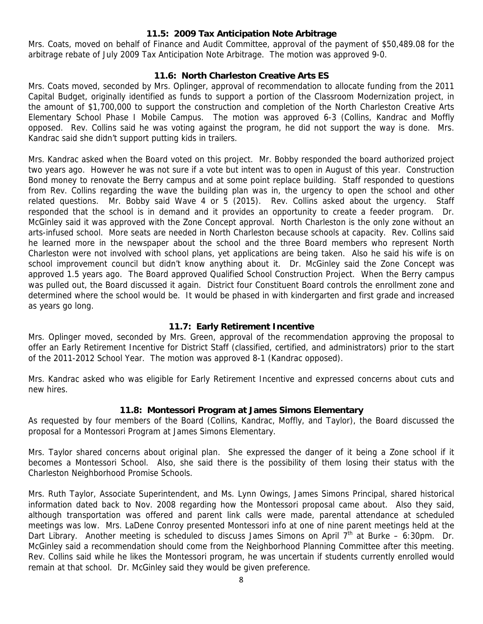#### **11.5: 2009 Tax Anticipation Note Arbitrage**

Mrs. Coats, moved on behalf of Finance and Audit Committee, approval of the payment of \$50,489.08 for the arbitrage rebate of July 2009 Tax Anticipation Note Arbitrage. The motion was approved 9-0.

#### **11.6: North Charleston Creative Arts ES**

Mrs. Coats moved, seconded by Mrs. Oplinger, approval of recommendation to allocate funding from the 2011 Capital Budget, originally identified as funds to support a portion of the Classroom Modernization project, in the amount of \$1,700,000 to support the construction and completion of the North Charleston Creative Arts Elementary School Phase I Mobile Campus. The motion was approved 6-3 (Collins, Kandrac and Moffly opposed. Rev. Collins said he was voting against the program, he did not support the way is done. Mrs. Kandrac said she didn't support putting kids in trailers.

Mrs. Kandrac asked when the Board voted on this project. Mr. Bobby responded the board authorized project two years ago. However he was not sure if a vote but intent was to open in August of this year. Construction Bond money to renovate the Berry campus and at some point replace building. Staff responded to questions from Rev. Collins regarding the wave the building plan was in, the urgency to open the school and other related questions. Mr. Bobby said Wave 4 or 5 (2015). Rev. Collins asked about the urgency. Staff responded that the school is in demand and it provides an opportunity to create a feeder program. Dr. McGinley said it was approved with the Zone Concept approval. North Charleston is the only zone without an arts-infused school. More seats are needed in North Charleston because schools at capacity. Rev. Collins said he learned more in the newspaper about the school and the three Board members who represent North Charleston were not involved with school plans, yet applications are being taken. Also he said his wife is on school improvement council but didn't know anything about it. Dr. McGinley said the Zone Concept was approved 1.5 years ago. The Board approved Qualified School Construction Project. When the Berry campus was pulled out, the Board discussed it again. District four Constituent Board controls the enrollment zone and determined where the school would be. It would be phased in with kindergarten and first grade and increased as years go long.

#### **11.7: Early Retirement Incentive**

Mrs. Oplinger moved, seconded by Mrs. Green, approval of the recommendation approving the proposal to offer an Early Retirement Incentive for District Staff (classified, certified, and administrators) prior to the start of the 2011-2012 School Year. The motion was approved 8-1 (Kandrac opposed).

Mrs. Kandrac asked who was eligible for Early Retirement Incentive and expressed concerns about cuts and new hires.

#### **11.8: Montessori Program at James Simons Elementary**

As requested by four members of the Board (Collins, Kandrac, Moffly, and Taylor), the Board discussed the proposal for a Montessori Program at James Simons Elementary.

Mrs. Taylor shared concerns about original plan. She expressed the danger of it being a Zone school if it becomes a Montessori School. Also, she said there is the possibility of them losing their status with the Charleston Neighborhood Promise Schools.

Mrs. Ruth Taylor, Associate Superintendent, and Ms. Lynn Owings, James Simons Principal, shared historical information dated back to Nov. 2008 regarding how the Montessori proposal came about. Also they said, although transportation was offered and parent link calls were made, parental attendance at scheduled meetings was low. Mrs. LaDene Conroy presented Montessori info at one of nine parent meetings held at the Dart Library. Another meeting is scheduled to discuss James Simons on April  $7<sup>th</sup>$  at Burke – 6:30pm. Dr. McGinley said a recommendation should come from the Neighborhood Planning Committee after this meeting. Rev. Collins said while he likes the Montessori program, he was uncertain if students currently enrolled would remain at that school. Dr. McGinley said they would be given preference.